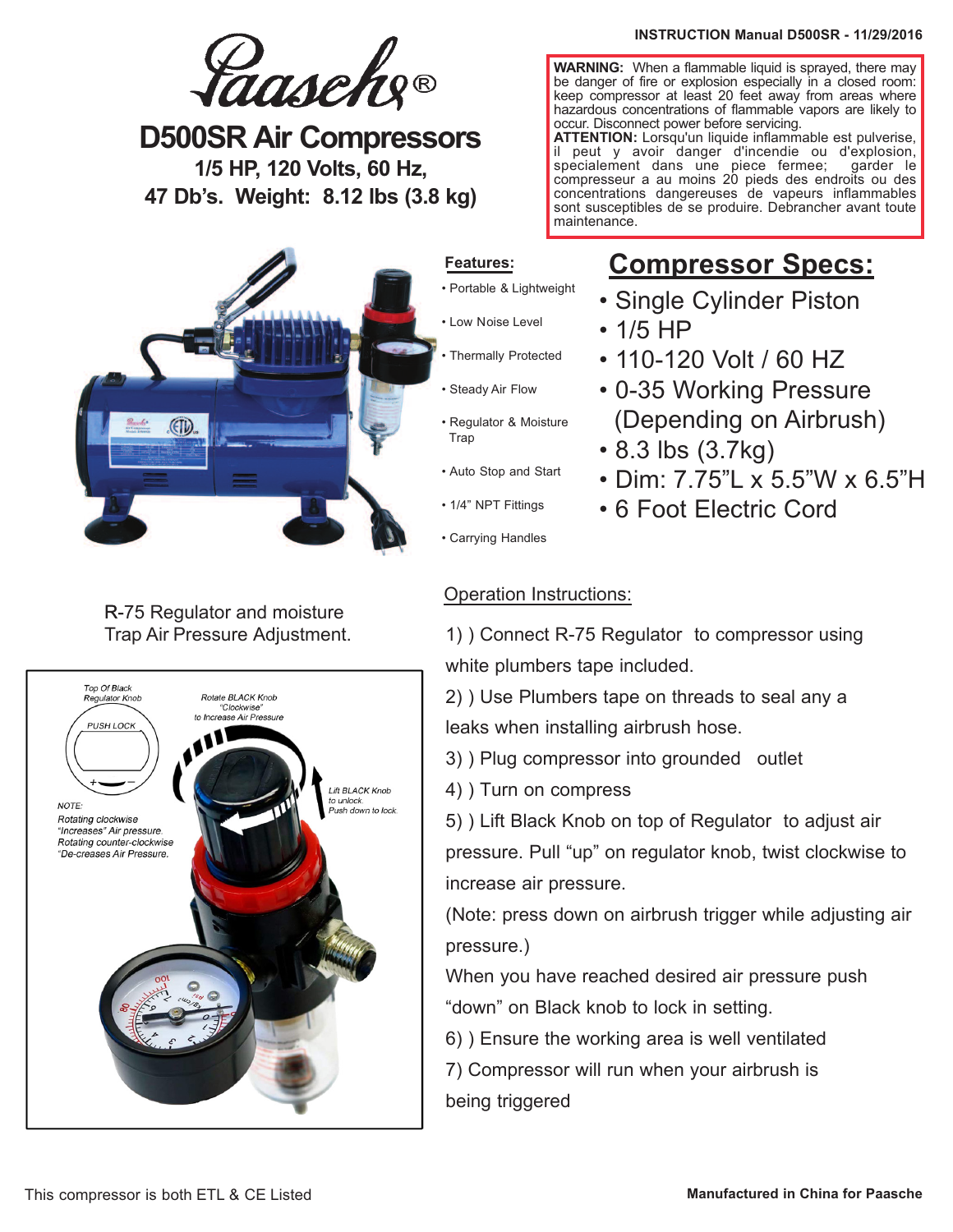**D500SR Air Compressors 1/5 HP, 120 Volts, 60 Hz, 47 Db's. Weight: 8.12 lbs (3.8 kg)**



## R-75 Regulator and moisture Trap Air Pressure Adjustment.



#### **INSTRUCTION Manual D500SR - 11/29/2016**

**WARNING:** When a flammable liquid is sprayed, there may be danger of fire or explosion especially in a closed room: keep compressor at least 20 feet away from areas where hazardous concentrations of flammable vapors are likely to occur. Disconnect power before servicing.

**ATTENTION:** Lorsqu'un liquide inflammable est pulverise, il peut y avoir danger d'incendie ou d'explosion, specialement dans une piece fermee; garder le compresseur a au moins 20 pieds des endroits ou des concentrations dangereuses de vapeurs inflammables sont susceptibles de se produire. Debrancher avant toute maintenance.

# **Compressor Specs:**

- Single Cylinder Piston
- 1/5 HP
- 110-120 Volt / 60 HZ
- 0-35 Working Pressure (Depending on Airbrush)
- 8.3 lbs (3.7kg)
- Dim: 7.75"L x 5.5"W x 6.5"H
- 6 Foot Electric Cord
- Carrying Handles

# Operation Instructions:

1) ) Connect R-75 Regulator to compressor using white plumbers tape included.

2) ) Use Plumbers tape on threads to seal any a leaks when installing airbrush hose.

3) ) Plug compressor into grounded outlet

4) ) Turn on compress

5) ) Lift Black Knob on top of Regulator to adjust air pressure. Pull "up" on regulator knob, twist clockwise to increase air pressure.

(Note: press down on airbrush trigger while adjusting air pressure.)

When you have reached desired air pressure push "down" on Black knob to lock in setting.

6) ) Ensure the working area is well ventilated

7) Compressor will run when your airbrush is being triggered